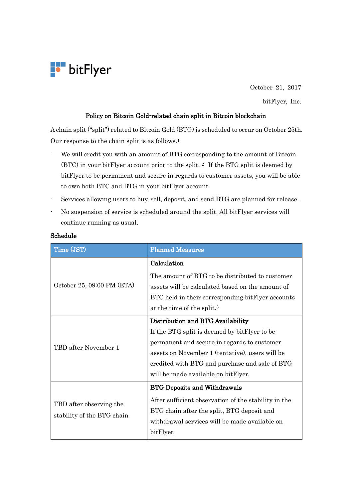

October 21, 2017

bitFlyer, Inc.

## Policy on Bitcoin Gold-related chain split in Bitcoin blockchain

A chain split ("split") related to Bitcoin Gold (BTG) is scheduled to occur on October 25th. Our response to the chain split is as follows. 1

- We will credit you with an amount of BTG corresponding to the amount of Bitcoin (BTC) in your bitFlyer account prior to the split. <sup>2</sup> If the BTG split is deemed by bitFlyer to be permanent and secure in regards to customer assets, you will be able to own both BTC and BTG in your bitFlyer account.
- Services allowing users to buy, sell, deposit, and send BTG are planned for release.
- No suspension of service is scheduled around the split. All bitFlyer services will continue running as usual.

| Time (JST)                                            | <b>Planned Measures</b>                              |
|-------------------------------------------------------|------------------------------------------------------|
| October 25, 09:00 PM (ETA)                            | Calculation                                          |
|                                                       | The amount of BTG to be distributed to customer      |
|                                                       | assets will be calculated based on the amount of     |
|                                                       | BTC held in their corresponding bitFlyer accounts    |
|                                                       | at the time of the split. <sup>3</sup>               |
| TBD after November 1                                  | Distribution and BTG Availability                    |
|                                                       | If the BTG split is deemed by bitFlyer to be         |
|                                                       | permanent and secure in regards to customer          |
|                                                       | assets on November 1 (tentative), users will be      |
|                                                       | credited with BTG and purchase and sale of BTG       |
|                                                       | will be made available on bitFlyer.                  |
| TBD after observing the<br>stability of the BTG chain | <b>BTG Deposits and Withdrawals</b>                  |
|                                                       | After sufficient observation of the stability in the |
|                                                       | BTG chain after the split, BTG deposit and           |
|                                                       | withdrawal services will be made available on        |
|                                                       | bitFlyer.                                            |

## Schedule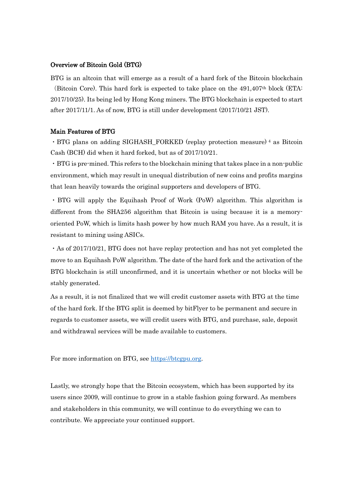## Overview of Bitcoin Gold (BTG)

BTG is an altcoin that will emerge as a result of a hard fork of the Bitcoin blockchain (Bitcoin Core). This hard fork is expected to take place on the  $491,407$ <sup>th</sup> block (ETA: 2017/10/25). Its being led by Hong Kong miners. The BTG blockchain is expected to start after 2017/11/1. As of now, BTG is still under development (2017/10/21 JST).

## Main Features of BTG

・BTG plans on adding SIGHASH\_FORKED (replay protection measure) <sup>4</sup> as Bitcoin Cash (BCH) did when it hard forked, but as of 2017/10/21.

・BTG is pre-mined. This refers to the blockchain mining that takes place in a non-public environment, which may result in unequal distribution of new coins and profits margins that lean heavily towards the original supporters and developers of BTG.

・BTG will apply the Equihash Proof of Work (PoW) algorithm. This algorithm is different from the SHA256 algorithm that Bitcoin is using because it is a memoryoriented PoW, which is limits hash power by how much RAM you have. As a result, it is resistant to mining using ASICs.

・As of 2017/10/21, BTG does not have replay protection and has not yet completed the move to an Equihash PoW algorithm. The date of the hard fork and the activation of the BTG blockchain is still unconfirmed, and it is uncertain whether or not blocks will be stably generated.

As a result, it is not finalized that we will credit customer assets with BTG at the time of the hard fork. If the BTG split is deemed by bitFlyer to be permanent and secure in regards to customer assets, we will credit users with BTG, and purchase, sale, deposit and withdrawal services will be made available to customers.

For more information on BTG, see [https://btcgpu.org.](https://btcgpu.org/)

Lastly, we strongly hope that the Bitcoin ecosystem, which has been supported by its users since 2009, will continue to grow in a stable fashion going forward. As members and stakeholders in this community, we will continue to do everything we can to contribute. We appreciate your continued support.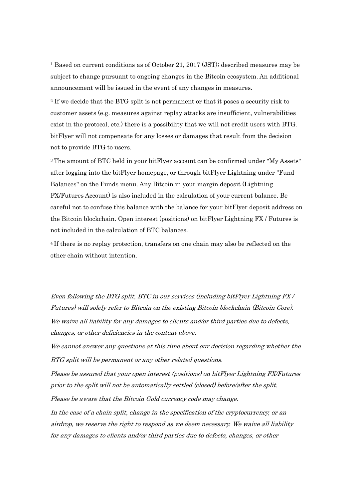<sup>1</sup> Based on current conditions as of October 21, 2017 (JST); described measures may be subject to change pursuant to ongoing changes in the Bitcoin ecosystem. An additional announcement will be issued in the event of any changes in measures.

<sup>2</sup> If we decide that the BTG split is not permanent or that it poses a security risk to customer assets (e.g. measures against replay attacks are insufficient, vulnerabilities exist in the protocol, etc.) there is a possibility that we will not credit users with BTG. bitFlyer will not compensate for any losses or damages that result from the decision not to provide BTG to users.

<sup>3</sup> The amount of BTC held in your bitFlyer account can be confirmed under "My Assets" after logging into the bitFlyer homepage, or through bitFlyer Lightning under "Fund Balances" on the Funds menu. Any Bitcoin in your margin deposit (Lightning FX/Futures Account) is also included in the calculation of your current balance. Be careful not to confuse this balance with the balance for your bitFlyer deposit address on the Bitcoin blockchain. Open interest (positions) on bitFlyer Lightning FX / Futures is not included in the calculation of BTC balances.

<sup>4</sup> If there is no replay protection, transfers on one chain may also be reflected on the other chain without intention.

Even following the BTG split, BTC in our services (including bitFlyer Lightning FX / Futures) will solely refer to Bitcoin on the existing Bitcoin blockchain (Bitcoin Core). We waive all liability for any damages to clients and/or third parties due to defects, changes, or other deficiencies in the content above.

We cannot answer any questions at this time about our decision regarding whether the BTG split will be permanent or any other related questions.

Please be assured that your open interest (positions) on bitFlyer Lightning FX/Futures prior to the split will not be automatically settled (closed) before/after the split. Please be aware that the Bitcoin Gold currency code may change.

In the case of a chain split, change in the specification of the cryptocurrency, or an airdrop, we reserve the right to respond as we deem necessary. We waive all liability for any damages to clients and/or third parties due to defects, changes, or other